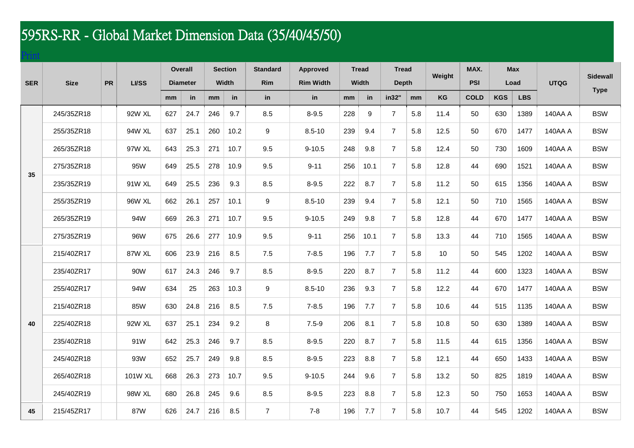## 595RS-RR - Global Market Dimension Data (35/40/45/50)

## [Print](http://www.federaltire.com/spec/spec.php?type=gbl&model=595RS-RR)

| <b>SER</b> | <b>Size</b> | <b>PR</b> | LI/SS   | <b>Overall</b>              |      | <b>Section</b>    |      | <b>Standard</b>  | <b>Approved</b>        | <b>Tread</b>      |      | <b>Tread</b>                |     | Weight | MAX.                      |            | <b>Max</b>         | <b>UTQG</b> | <b>Sidewall</b> |
|------------|-------------|-----------|---------|-----------------------------|------|-------------------|------|------------------|------------------------|-------------------|------|-----------------------------|-----|--------|---------------------------|------------|--------------------|-------------|-----------------|
|            |             |           |         | <b>Diameter</b><br>mm<br>in |      | Width<br>in<br>mm |      | Rim<br>in        | <b>Rim Width</b><br>in | Width<br>in<br>mm |      | <b>Depth</b><br>in32"<br>mm |     | KG     | <b>PSI</b><br><b>COLD</b> | <b>KGS</b> | Load<br><b>LBS</b> |             | <b>Type</b>     |
|            |             |           |         |                             |      |                   |      |                  |                        |                   |      |                             |     |        |                           |            |                    |             |                 |
| 35         | 245/35ZR18  |           | 92W XL  | 627                         | 24.7 | 246               | 9.7  | 8.5              | $8 - 9.5$              | 228               | 9    | $\overline{7}$              | 5.8 | 11.4   | 50                        | 630        | 1389               | 140AA A     | <b>BSW</b>      |
|            | 255/35ZR18  |           | 94W XL  | 637                         | 25.1 | 260               | 10.2 | 9                | $8.5 - 10$             | 239               | 9.4  | $\overline{7}$              | 5.8 | 12.5   | 50                        | 670        | 1477               | 140AA A     | <b>BSW</b>      |
|            | 265/35ZR18  |           | 97W XL  | 643                         | 25.3 | 271               | 10.7 | 9.5              | $9 - 10.5$             | 248               | 9.8  | $\overline{7}$              | 5.8 | 12.4   | 50                        | 730        | 1609               | 140AA A     | <b>BSW</b>      |
|            | 275/35ZR18  |           | 95W     | 649                         | 25.5 | 278               | 10.9 | 9.5              | $9 - 11$               | 256               | 10.1 | $\overline{7}$              | 5.8 | 12.8   | 44                        | 690        | 1521               | 140AA A     | <b>BSW</b>      |
|            | 235/35ZR19  |           | 91W XL  | 649                         | 25.5 | 236               | 9.3  | 8.5              | $8 - 9.5$              | 222               | 8.7  | $\overline{7}$              | 5.8 | 11.2   | 50                        | 615        | 1356               | 140AA A     | <b>BSW</b>      |
|            | 255/35ZR19  |           | 96W XL  | 662                         | 26.1 | 257               | 10.1 | $\boldsymbol{9}$ | $8.5 - 10$             | 239               | 9.4  | $\overline{7}$              | 5.8 | 12.1   | 50                        | 710        | 1565               | 140AA A     | <b>BSW</b>      |
|            | 265/35ZR19  |           | 94W     | 669                         | 26.3 | 271               | 10.7 | 9.5              | $9 - 10.5$             | 249               | 9.8  | $\overline{7}$              | 5.8 | 12.8   | 44                        | 670        | 1477               | 140AA A     | <b>BSW</b>      |
|            | 275/35ZR19  |           | 96W     | 675                         | 26.6 | 277               | 10.9 | 9.5              | $9 - 11$               | 256               | 10.1 | $\overline{7}$              | 5.8 | 13.3   | 44                        | 710        | 1565               | 140AA A     | <b>BSW</b>      |
| 40         | 215/40ZR17  |           | 87W XL  | 606                         | 23.9 | 216               | 8.5  | 7.5              | $7 - 8.5$              | 196               | 7.7  | $\overline{7}$              | 5.8 | 10     | 50                        | 545        | 1202               | 140AA A     | <b>BSW</b>      |
|            | 235/40ZR17  |           | 90W     | 617                         | 24.3 | 246               | 9.7  | 8.5              | $8 - 9.5$              | 220               | 8.7  | $\overline{7}$              | 5.8 | 11.2   | 44                        | 600        | 1323               | 140AA A     | <b>BSW</b>      |
|            | 255/40ZR17  |           | 94W     | 634                         | 25   | 263               | 10.3 | 9                | $8.5 - 10$             | 236               | 9.3  | $\overline{7}$              | 5.8 | 12.2   | 44                        | 670        | 1477               | 140AA A     | <b>BSW</b>      |
|            | 215/40ZR18  |           | 85W     | 630                         | 24.8 | 216               | 8.5  | 7.5              | $7 - 8.5$              | 196               | 7.7  | $\overline{7}$              | 5.8 | 10.6   | 44                        | 515        | 1135               | 140AA A     | <b>BSW</b>      |
|            | 225/40ZR18  |           | 92W XL  | 637                         | 25.1 | 234               | 9.2  | 8                | $7.5 - 9$              | 206               | 8.1  | 7                           | 5.8 | 10.8   | 50                        | 630        | 1389               | 140AA A     | <b>BSW</b>      |
|            | 235/40ZR18  |           | 91W     | 642                         | 25.3 | 246               | 9.7  | 8.5              | $8 - 9.5$              | 220               | 8.7  | $\overline{7}$              | 5.8 | 11.5   | 44                        | 615        | 1356               | 140AA A     | <b>BSW</b>      |
|            | 245/40ZR18  |           | 93W     | 652                         | 25.7 | 249               | 9.8  | 8.5              | $8 - 9.5$              | 223               | 8.8  | $\overline{7}$              | 5.8 | 12.1   | 44                        | 650        | 1433               | 140AA A     | <b>BSW</b>      |
|            | 265/40ZR18  |           | 101W XL | 668                         | 26.3 | 273               | 10.7 | 9.5              | $9 - 10.5$             | 244               | 9.6  | $\overline{7}$              | 5.8 | 13.2   | 50                        | 825        | 1819               | 140AA A     | <b>BSW</b>      |
|            | 245/40ZR19  |           | 98W XL  | 680                         | 26.8 | 245               | 9.6  | 8.5              | $8 - 9.5$              | 223               | 8.8  | $\overline{7}$              | 5.8 | 12.3   | 50                        | 750        | 1653               | 140AA A     | <b>BSW</b>      |
| 45         | 215/45ZR17  |           | 87W     | 626                         | 24.7 | 216               | 8.5  | $\overline{7}$   | $7 - 8$                | 196               | 7.7  | $\overline{7}$              | 5.8 | 10.7   | 44                        | 545        | 1202               | 140AA A     | <b>BSW</b>      |